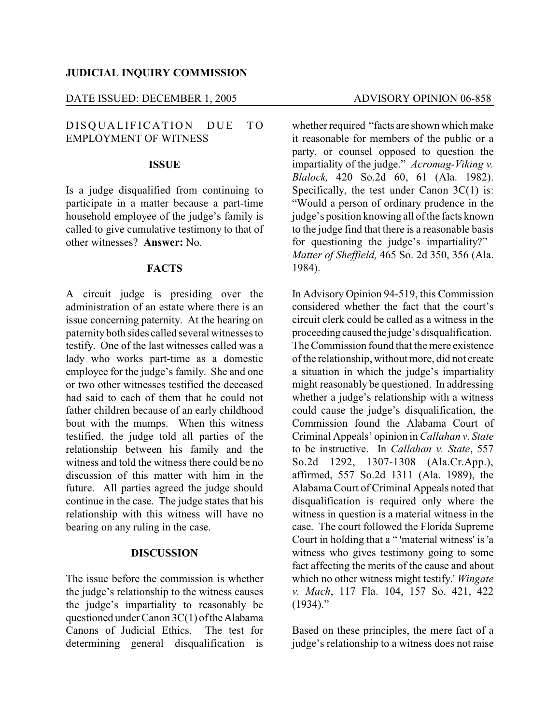## **JUDICIAL INQUIRY COMMISSION**

### DATE ISSUED: DECEMBER 1, 2005 ADVISORY OPINION 06-858

# DISOUALIFICATION DUE TO EMPLOYMENT OF WITNESS

#### **ISSUE**

Is a judge disqualified from continuing to participate in a matter because a part-time household employee of the judge's family is called to give cumulative testimony to that of other witnesses? **Answer:** No.

## **FACTS**

A circuit judge is presiding over the administration of an estate where there is an issue concerning paternity. At the hearing on paternityboth sides called several witnesses to testify. One of the last witnesses called was a lady who works part-time as a domestic employee for the judge's family. She and one or two other witnesses testified the deceased had said to each of them that he could not father children because of an early childhood bout with the mumps. When this witness testified, the judge told all parties of the relationship between his family and the witness and told the witness there could be no discussion of this matter with him in the future. All parties agreed the judge should continue in the case. The judge states that his relationship with this witness will have no bearing on any ruling in the case.

#### **DISCUSSION**

The issue before the commission is whether the judge's relationship to the witness causes the judge's impartiality to reasonably be questioned under Canon 3C(1) of the Alabama Canons of Judicial Ethics. The test for determining general disqualification is whether required "facts are shown which make it reasonable for members of the public or a party, or counsel opposed to question the impartiality of the judge." *Acromag-Viking v. Blalock,* 420 So.2d 60, 61 (Ala. 1982). Specifically, the test under Canon 3C(1) is: "Would a person of ordinary prudence in the judge's position knowing all of the facts known to the judge find that there is a reasonable basis for questioning the judge's impartiality?" *Matter of Sheffield,* 465 So. 2d 350, 356 (Ala. 1984).

In Advisory Opinion 94-519, this Commission considered whether the fact that the court's circuit clerk could be called as a witness in the proceeding caused the judge's disqualification. The Commission found that the mere existence of the relationship, without more, did not create a situation in which the judge's impartiality might reasonably be questioned. In addressing whether a judge's relationship with a witness could cause the judge's disqualification, the Commission found the Alabama Court of Criminal Appeals' opinion in *Callahan v. State* to be instructive. In *Callahan v. State*, 557 So.2d 1292, 1307-1308 (Ala.Cr.App.), affirmed, 557 So.2d 1311 (Ala. 1989), the Alabama Court of Criminal Appeals noted that disqualification is required only where the witness in question is a material witness in the case. The court followed the Florida Supreme Court in holding that a " 'material witness' is 'a witness who gives testimony going to some fact affecting the merits of the cause and about which no other witness might testify.' *Wingate v. Mach*, 117 Fla. 104, 157 So. 421, 422  $(1934)$ ."

Based on these principles, the mere fact of a judge's relationship to a witness does not raise